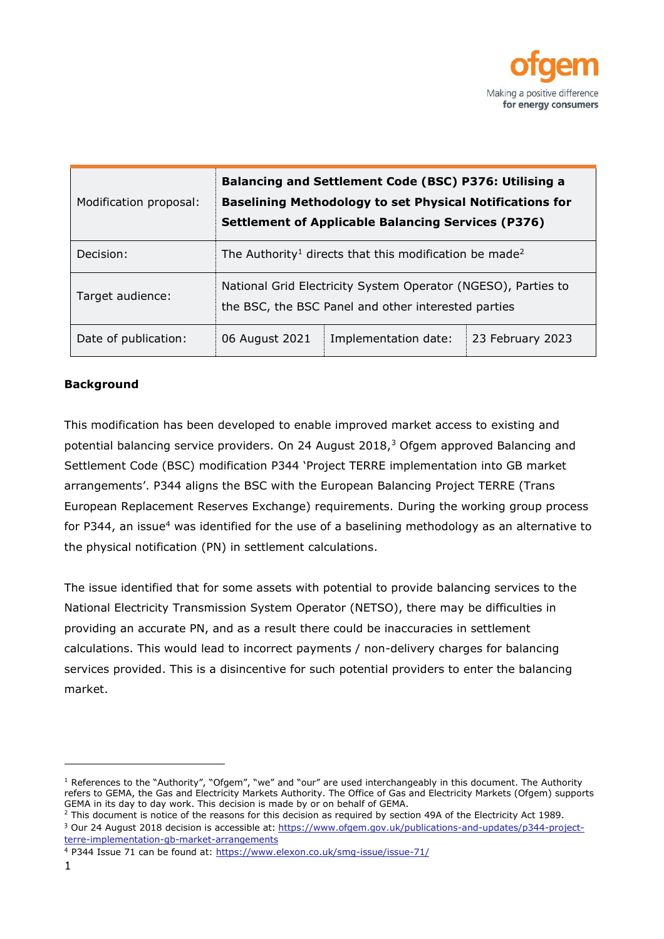

| Modification proposal: | Balancing and Settlement Code (BSC) P376: Utilising a<br><b>Baselining Methodology to set Physical Notifications for</b><br><b>Settlement of Applicable Balancing Services (P376)</b> |                      |                  |
|------------------------|---------------------------------------------------------------------------------------------------------------------------------------------------------------------------------------|----------------------|------------------|
| Decision:              | The Authority <sup>1</sup> directs that this modification be made <sup>2</sup>                                                                                                        |                      |                  |
| Target audience:       | National Grid Electricity System Operator (NGESO), Parties to<br>the BSC, the BSC Panel and other interested parties                                                                  |                      |                  |
| Date of publication:   | 06 August 2021                                                                                                                                                                        | Implementation date: | 23 February 2023 |

### **Background**

This modification has been developed to enable improved market access to existing and potential balancing service providers. On 24 August 2018,<sup>3</sup> Ofgem approved Balancing and Settlement Code (BSC) modification P344 'Project TERRE implementation into GB market arrangements'. P344 aligns the BSC with the European Balancing Project TERRE (Trans European Replacement Reserves Exchange) requirements. During the working group process for P344, an issue<sup>4</sup> was identified for the use of a baselining methodology as an alternative to the physical notification (PN) in settlement calculations.

The issue identified that for some assets with potential to provide balancing services to the National Electricity Transmission System Operator (NETSO), there may be difficulties in providing an accurate PN, and as a result there could be inaccuracies in settlement calculations. This would lead to incorrect payments / non-delivery charges for balancing services provided. This is a disincentive for such potential providers to enter the balancing market.

 $1$  References to the "Authority", "Ofgem", "we" and "our" are used interchangeably in this document. The Authority refers to GEMA, the Gas and Electricity Markets Authority. The Office of Gas and Electricity Markets (Ofgem) supports GEMA in its day to day work. This decision is made by or on behalf of GEMA.

 $2$  This document is notice of the reasons for this decision as required by section 49A of the Electricity Act 1989.

<sup>&</sup>lt;sup>3</sup> Our 24 August 2018 decision is accessible at: [https://www.ofgem.gov.uk/publications-and-updates/p344-project](https://www.ofgem.gov.uk/publications-and-updates/p344-project-terre-implementation-gb-market-arrangements)[terre-implementation-gb-market-arrangements](https://www.ofgem.gov.uk/publications-and-updates/p344-project-terre-implementation-gb-market-arrangements)

<sup>4</sup> P344 Issue 71 can be found at: <https://www.elexon.co.uk/smg-issue/issue-71/>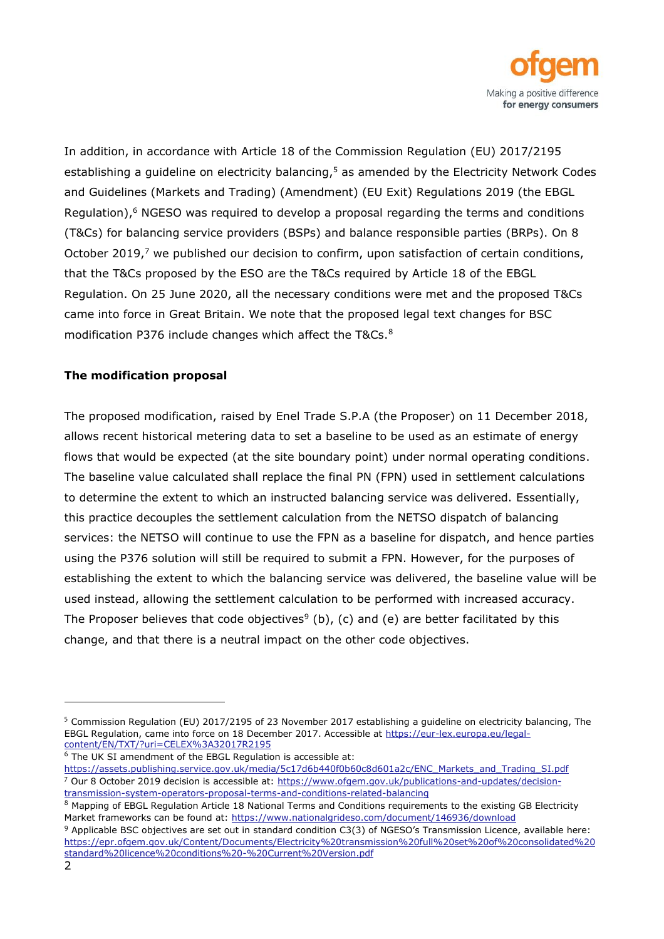

In addition, in accordance with Article 18 of the Commission Regulation (EU) 2017/2195 establishing a guideline on electricity balancing, <sup>5</sup> as amended by the Electricity Network Codes and Guidelines (Markets and Trading) (Amendment) (EU Exit) Regulations 2019 (the EBGL Regulation), $6$  NGESO was required to develop a proposal regarding the terms and conditions (T&Cs) for balancing service providers (BSPs) and balance responsible parties (BRPs). On 8 October 2019, $<sup>7</sup>$  we published our decision to confirm, upon satisfaction of certain conditions,</sup> that the T&Cs proposed by the ESO are the T&Cs required by Article 18 of the EBGL Regulation. On 25 June 2020, all the necessary conditions were met and the proposed T&Cs came into force in Great Britain. We note that the proposed legal text changes for BSC modification P376 include changes which affect the T&Cs.<sup>8</sup>

### **The modification proposal**

The proposed modification, raised by Enel Trade S.P.A (the Proposer) on 11 December 2018, allows recent historical metering data to set a baseline to be used as an estimate of energy flows that would be expected (at the site boundary point) under normal operating conditions. The baseline value calculated shall replace the final PN (FPN) used in settlement calculations to determine the extent to which an instructed balancing service was delivered. Essentially, this practice decouples the settlement calculation from the NETSO dispatch of balancing services: the NETSO will continue to use the FPN as a baseline for dispatch, and hence parties using the P376 solution will still be required to submit a FPN. However, for the purposes of establishing the extent to which the balancing service was delivered, the baseline value will be used instead, allowing the settlement calculation to be performed with increased accuracy. The Proposer believes that code objectives<sup>9</sup> (b), (c) and (e) are better facilitated by this change, and that there is a neutral impact on the other code objectives.

 $6$  The UK SI amendment of the EBGL Regulation is accessible at:

<sup>5</sup> Commission Regulation (EU) 2017/2195 of 23 November 2017 establishing a guideline on electricity balancing, The EBGL Regulation, came into force on 18 December 2017. Accessible at [https://eur-lex.europa.eu/legal](https://eur-lex.europa.eu/legal-content/EN/TXT/?uri=CELEX%3A32017R2195)[content/EN/TXT/?uri=CELEX%3A32017R2195](https://eur-lex.europa.eu/legal-content/EN/TXT/?uri=CELEX%3A32017R2195)

[https://assets.publishing.service.gov.uk/media/5c17d6b440f0b60c8d601a2c/ENC\\_Markets\\_and\\_Trading\\_SI.pdf](https://assets.publishing.service.gov.uk/media/5c17d6b440f0b60c8d601a2c/ENC_Markets_and_Trading_SI.pdf) <sup>7</sup> Our 8 October 2019 decision is accessible at: [https://www.ofgem.gov.uk/publications-and-updates/decision](https://www.ofgem.gov.uk/publications-and-updates/decision-transmission-system-operators-proposal-terms-and-conditions-related-balancing)[transmission-system-operators-proposal-terms-and-conditions-related-balancing](https://www.ofgem.gov.uk/publications-and-updates/decision-transmission-system-operators-proposal-terms-and-conditions-related-balancing)

 $8$  Mapping of EBGL Regulation Article 18 National Terms and Conditions requirements to the existing GB Electricity Market frameworks can be found at:<https://www.nationalgrideso.com/document/146936/download>

<sup>9</sup> Applicable BSC objectives are set out in standard condition C3(3) of NGESO's Transmission Licence, available here: [https://epr.ofgem.gov.uk/Content/Documents/Electricity%20transmission%20full%20set%20of%20consolidated%20](https://epr.ofgem.gov.uk/Content/Documents/Electricity%20transmission%20full%20set%20of%20consolidated%20standard%20licence%20conditions%20-%20Current%20Version.pdf) [standard%20licence%20conditions%20-%20Current%20Version.pdf](https://epr.ofgem.gov.uk/Content/Documents/Electricity%20transmission%20full%20set%20of%20consolidated%20standard%20licence%20conditions%20-%20Current%20Version.pdf)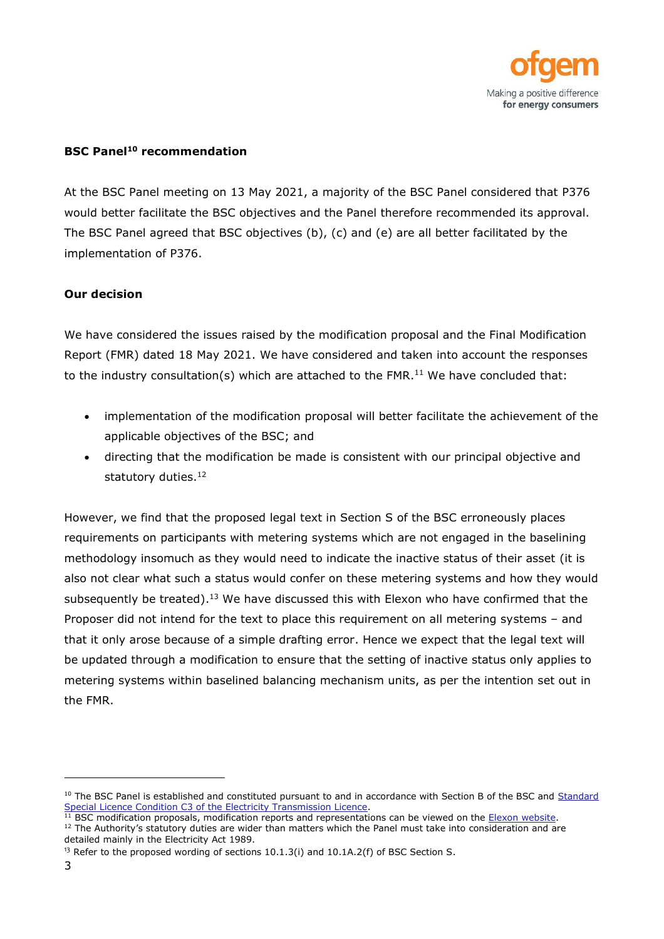

### **BSC Panel<sup>10</sup> recommendation**

At the BSC Panel meeting on 13 May 2021, a majority of the BSC Panel considered that P376 would better facilitate the BSC objectives and the Panel therefore recommended its approval. The BSC Panel agreed that BSC objectives (b), (c) and (e) are all better facilitated by the implementation of P376.

#### **Our decision**

We have considered the issues raised by the modification proposal and the Final Modification Report (FMR) dated 18 May 2021. We have considered and taken into account the responses to the industry consultation(s) which are attached to the FMR.<sup>11</sup> We have concluded that:

- implementation of the modification proposal will better facilitate the achievement of the applicable objectives of the BSC; and
- directing that the modification be made is consistent with our principal objective and statutory duties. 12

However, we find that the proposed legal text in Section S of the BSC erroneously places requirements on participants with metering systems which are not engaged in the baselining methodology insomuch as they would need to indicate the inactive status of their asset (it is also not clear what such a status would confer on these metering systems and how they would subsequently be treated).<sup>13</sup> We have discussed this with Elexon who have confirmed that the Proposer did not intend for the text to place this requirement on all metering systems – and that it only arose because of a simple drafting error. Hence we expect that the legal text will be updated through a modification to ensure that the setting of inactive status only applies to metering systems within baselined balancing mechanism units, as per the intention set out in the FMR.

<sup>&</sup>lt;sup>10</sup> The BSC Panel is established and constituted pursuant to and in accordance with Section B of the BSC and Standard [Special Licence Condition C3 of the Electricity Transmission Licence.](http://www.epr.ofgem.gov.uk/)

<sup>&</sup>lt;sup>11</sup> BSC modification proposals, modification reports and representations can be viewed on the **Elexon website**.

<sup>&</sup>lt;sup>12</sup> The Authority's statutory duties are wider than matters which the Panel must take into consideration and are detailed mainly in the Electricity Act 1989.

<sup>&</sup>lt;sup>13</sup> Refer to the proposed wording of sections  $10.1.3(i)$  and  $10.1A.2(f)$  of BSC Section S.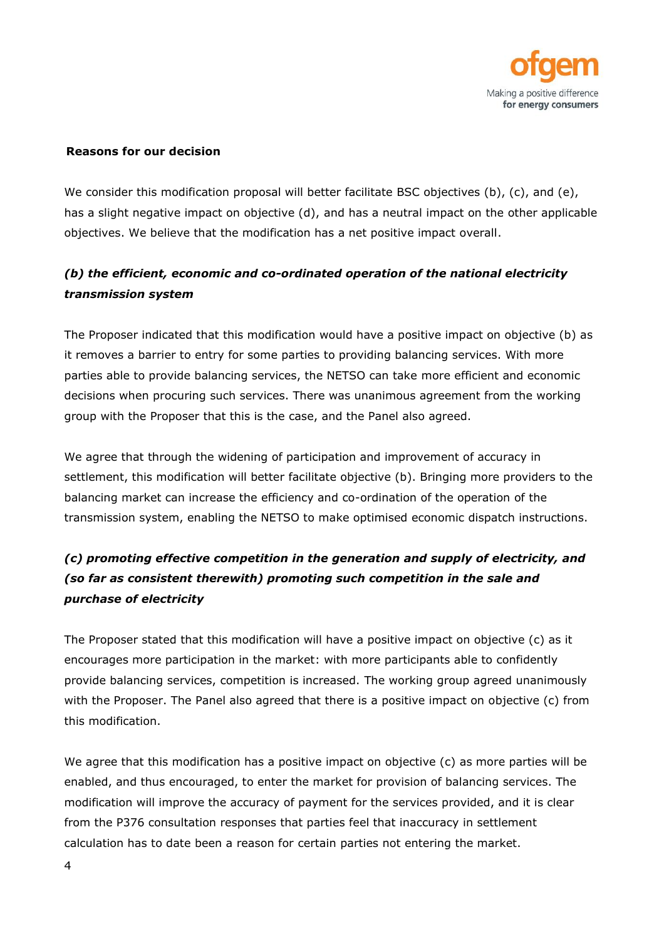

#### **Reasons for our decision**

We consider this modification proposal will better facilitate BSC objectives (b), (c), and (e), has a slight negative impact on objective (d), and has a neutral impact on the other applicable objectives. We believe that the modification has a net positive impact overall.

## *(b) the efficient, economic and co-ordinated operation of the national electricity transmission system*

The Proposer indicated that this modification would have a positive impact on objective (b) as it removes a barrier to entry for some parties to providing balancing services. With more parties able to provide balancing services, the NETSO can take more efficient and economic decisions when procuring such services. There was unanimous agreement from the working group with the Proposer that this is the case, and the Panel also agreed.

We agree that through the widening of participation and improvement of accuracy in settlement, this modification will better facilitate objective (b). Bringing more providers to the balancing market can increase the efficiency and co-ordination of the operation of the transmission system, enabling the NETSO to make optimised economic dispatch instructions.

# *(c) promoting effective competition in the generation and supply of electricity, and (so far as consistent therewith) promoting such competition in the sale and purchase of electricity*

The Proposer stated that this modification will have a positive impact on objective (c) as it encourages more participation in the market: with more participants able to confidently provide balancing services, competition is increased. The working group agreed unanimously with the Proposer. The Panel also agreed that there is a positive impact on objective (c) from this modification.

We agree that this modification has a positive impact on objective (c) as more parties will be enabled, and thus encouraged, to enter the market for provision of balancing services. The modification will improve the accuracy of payment for the services provided, and it is clear from the P376 consultation responses that parties feel that inaccuracy in settlement calculation has to date been a reason for certain parties not entering the market.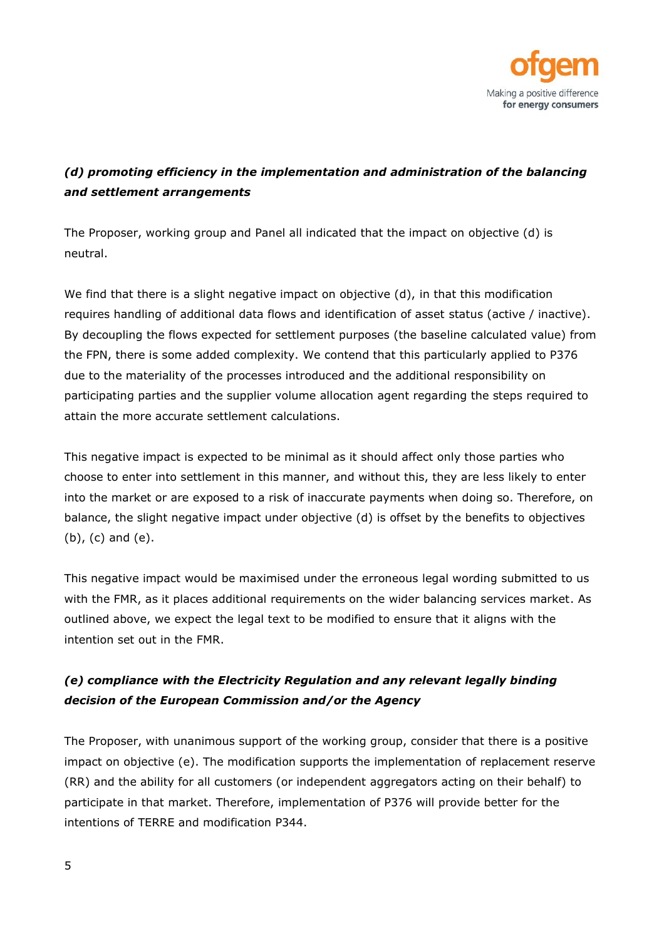

# *(d) promoting efficiency in the implementation and administration of the balancing and settlement arrangements*

The Proposer, working group and Panel all indicated that the impact on objective (d) is neutral.

We find that there is a slight negative impact on objective (d), in that this modification requires handling of additional data flows and identification of asset status (active / inactive). By decoupling the flows expected for settlement purposes (the baseline calculated value) from the FPN, there is some added complexity. We contend that this particularly applied to P376 due to the materiality of the processes introduced and the additional responsibility on participating parties and the supplier volume allocation agent regarding the steps required to attain the more accurate settlement calculations.

This negative impact is expected to be minimal as it should affect only those parties who choose to enter into settlement in this manner, and without this, they are less likely to enter into the market or are exposed to a risk of inaccurate payments when doing so. Therefore, on balance, the slight negative impact under objective (d) is offset by the benefits to objectives (b), (c) and (e).

This negative impact would be maximised under the erroneous legal wording submitted to us with the FMR, as it places additional requirements on the wider balancing services market. As outlined above, we expect the legal text to be modified to ensure that it aligns with the intention set out in the FMR.

# *(e) compliance with the Electricity Regulation and any relevant legally binding decision of the European Commission and/or the Agency*

The Proposer, with unanimous support of the working group, consider that there is a positive impact on objective (e). The modification supports the implementation of replacement reserve (RR) and the ability for all customers (or independent aggregators acting on their behalf) to participate in that market. Therefore, implementation of P376 will provide better for the intentions of TERRE and modification P344.